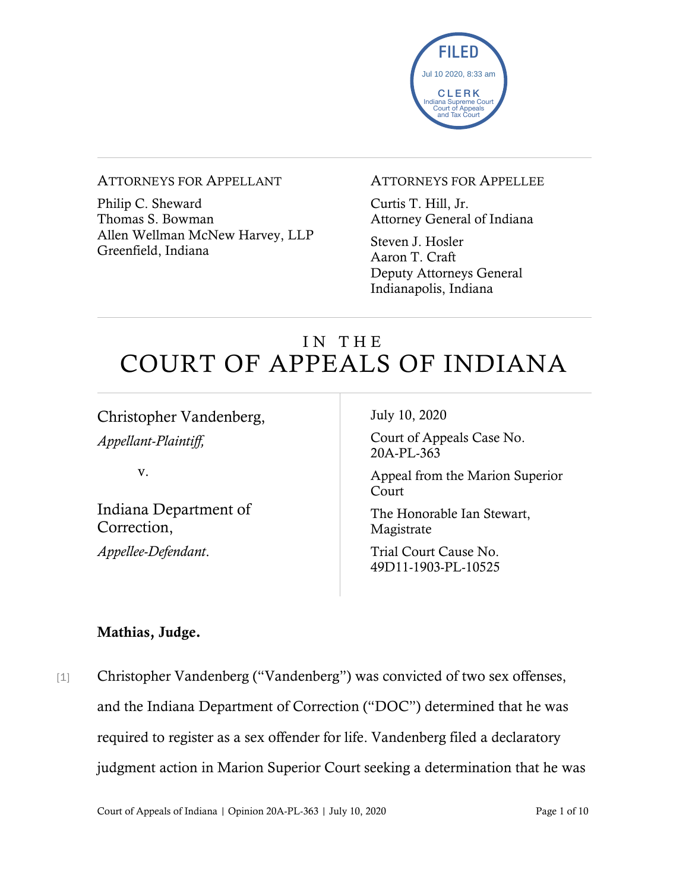

#### ATTORNEYS FOR APPELLANT

Philip C. Sheward Thomas S. Bowman Allen Wellman McNew Harvey, LLP Greenfield, Indiana

#### ATTORNEYS FOR APPELLEE

Curtis T. Hill, Jr. Attorney General of Indiana

Steven J. Hosler Aaron T. Craft Deputy Attorneys General Indianapolis, Indiana

# IN THE COURT OF APPEALS OF INDIANA

Christopher Vandenberg, *Appellant-Plaintiff,*

v.

Indiana Department of Correction, *Appellee-Defendant*.

July 10, 2020

Court of Appeals Case No. 20A-PL-363

Appeal from the Marion Superior Court

The Honorable Ian Stewart, Magistrate

Trial Court Cause No. 49D11-1903-PL-10525

#### Mathias, Judge.

[1] Christopher Vandenberg ("Vandenberg") was convicted of two sex offenses, and the Indiana Department of Correction ("DOC") determined that he was required to register as a sex offender for life. Vandenberg filed a declaratory judgment action in Marion Superior Court seeking a determination that he was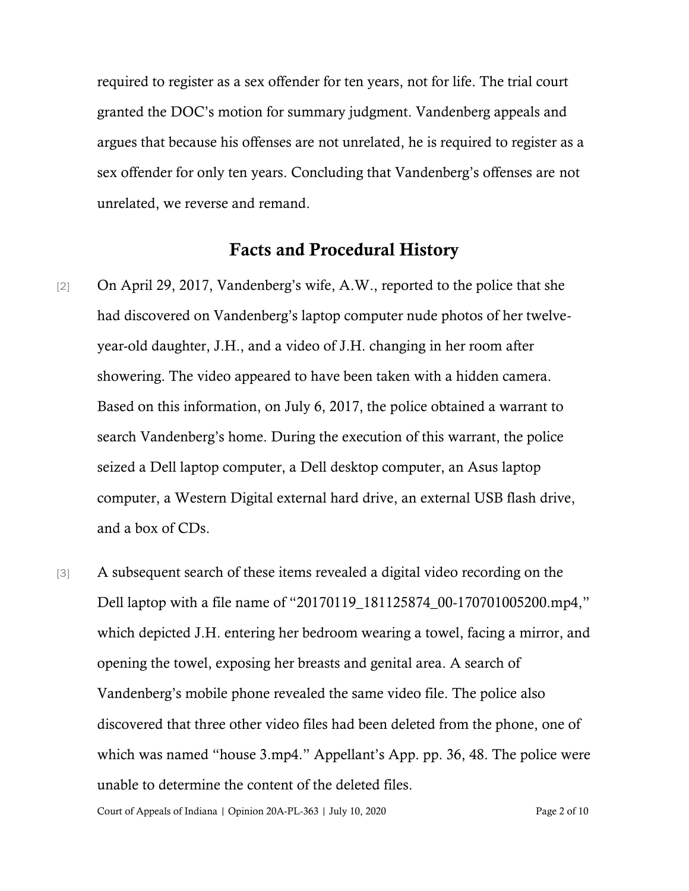required to register as a sex offender for ten years, not for life. The trial court granted the DOC's motion for summary judgment. Vandenberg appeals and argues that because his offenses are not unrelated, he is required to register as a sex offender for only ten years. Concluding that Vandenberg's offenses are not unrelated, we reverse and remand.

#### Facts and Procedural History

- [2] On April 29, 2017, Vandenberg's wife, A.W., reported to the police that she had discovered on Vandenberg's laptop computer nude photos of her twelveyear-old daughter, J.H., and a video of J.H. changing in her room after showering. The video appeared to have been taken with a hidden camera. Based on this information, on July 6, 2017, the police obtained a warrant to search Vandenberg's home. During the execution of this warrant, the police seized a Dell laptop computer, a Dell desktop computer, an Asus laptop computer, a Western Digital external hard drive, an external USB flash drive, and a box of CDs.
- [3] A subsequent search of these items revealed a digital video recording on the Dell laptop with a file name of "20170119\_181125874\_00-170701005200.mp4," which depicted J.H. entering her bedroom wearing a towel, facing a mirror, and opening the towel, exposing her breasts and genital area. A search of Vandenberg's mobile phone revealed the same video file. The police also discovered that three other video files had been deleted from the phone, one of which was named "house 3.mp4." Appellant's App. pp. 36, 48. The police were unable to determine the content of the deleted files.

Court of Appeals of Indiana | Opinion 20A-PL-363 | July 10, 2020 Page 2 of 10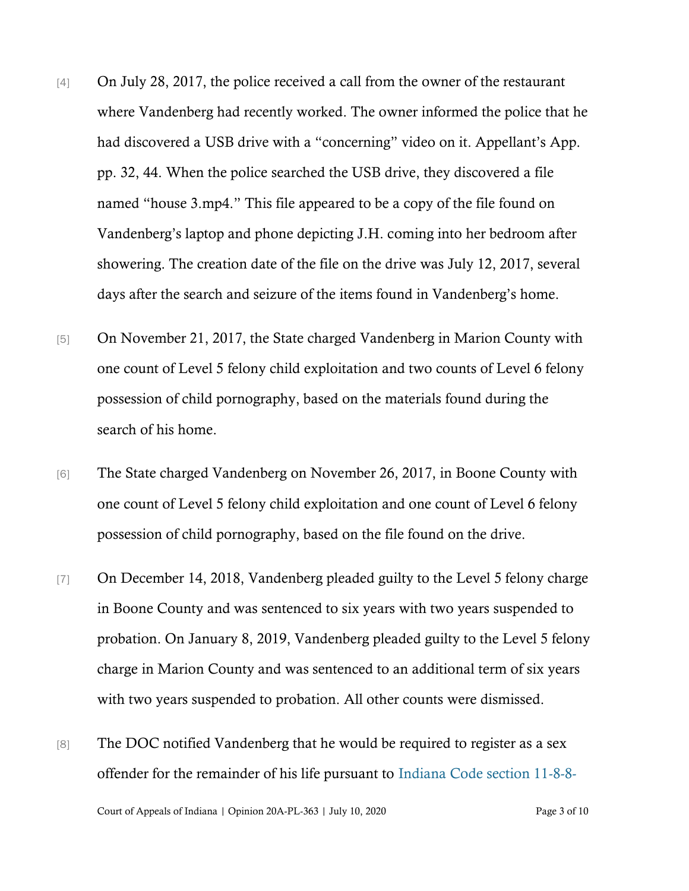- [4] On July 28, 2017, the police received a call from the owner of the restaurant where Vandenberg had recently worked. The owner informed the police that he had discovered a USB drive with a "concerning" video on it. Appellant's App. pp. 32, 44. When the police searched the USB drive, they discovered a file named "house 3.mp4." This file appeared to be a copy of the file found on Vandenberg's laptop and phone depicting J.H. coming into her bedroom after showering. The creation date of the file on the drive was July 12, 2017, several days after the search and seizure of the items found in Vandenberg's home.
- [5] On November 21, 2017, the State charged Vandenberg in Marion County with one count of Level 5 felony child exploitation and two counts of Level 6 felony possession of child pornography, based on the materials found during the search of his home.
- [6] The State charged Vandenberg on November 26, 2017, in Boone County with one count of Level 5 felony child exploitation and one count of Level 6 felony possession of child pornography, based on the file found on the drive.
- [7] On December 14, 2018, Vandenberg pleaded guilty to the Level 5 felony charge in Boone County and was sentenced to six years with two years suspended to probation. On January 8, 2019, Vandenberg pleaded guilty to the Level 5 felony charge in Marion County and was sentenced to an additional term of six years with two years suspended to probation. All other counts were dismissed.
- [8] The DOC notified Vandenberg that he would be required to register as a sex offender for the remainder of his life pursuant to [Indiana Code section 11-8-8-](https://www.westlaw.com/Document/N0AA97ED07B6E11E9B1C9BC35CA018EF0/View/FullText.html?transitionType=Default&contextData=(sc.Default)&VR=3.0&RS=da3.0)

Court of Appeals of Indiana | Opinion 20A-PL-363 | July 10, 2020 Page 3 of 10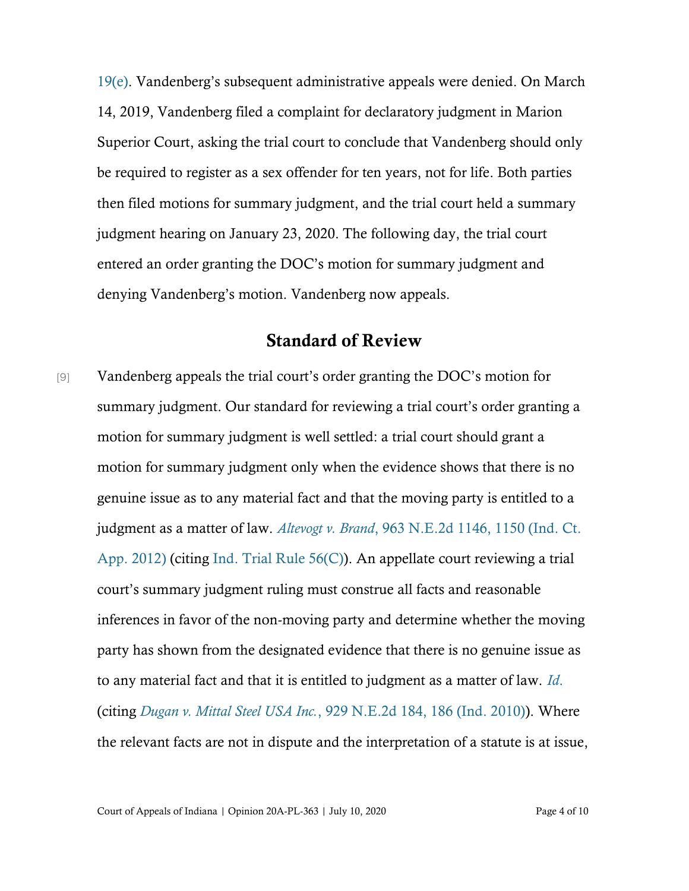[19\(e\)](https://www.westlaw.com/Document/N0AA97ED07B6E11E9B1C9BC35CA018EF0/View/FullText.html?transitionType=Default&contextData=(sc.Default)&VR=3.0&RS=da3.0). Vandenberg's subsequent administrative appeals were denied. On March 14, 2019, Vandenberg filed a complaint for declaratory judgment in Marion Superior Court, asking the trial court to conclude that Vandenberg should only be required to register as a sex offender for ten years, not for life. Both parties then filed motions for summary judgment, and the trial court held a summary judgment hearing on January 23, 2020. The following day, the trial court entered an order granting the DOC's motion for summary judgment and denying Vandenberg's motion. Vandenberg now appeals.

### Standard of Review

[9] Vandenberg appeals the trial court's order granting the DOC's motion for summary judgment. Our standard for reviewing a trial court's order granting a motion for summary judgment is well settled: a trial court should grant a motion for summary judgment only when the evidence shows that there is no genuine issue as to any material fact and that the moving party is entitled to a judgment as a matter of law. *Altevogt v. Brand*[, 963 N.E.2d 1146, 1150 \(Ind. Ct.](https://www.westlaw.com/Document/I082791906f3b11e1be29b2facdefeebe/View/FullText.html?transitionType=Default&contextData=(sc.Default)&VR=3.0&RS=da3.0&fragmentIdentifier=co_pp_sp_578_1150)  [App. 2012\)](https://www.westlaw.com/Document/I082791906f3b11e1be29b2facdefeebe/View/FullText.html?transitionType=Default&contextData=(sc.Default)&VR=3.0&RS=da3.0&fragmentIdentifier=co_pp_sp_578_1150) (citing [Ind. Trial Rule 56\(C\)\)](https://www.westlaw.com/Document/NBA06E48071B711DCA094A00E6229ED4E/View/FullText.html?transitionType=Default&contextData=(sc.Default)&VR=3.0&RS=da3.0). An appellate court reviewing a trial court's summary judgment ruling must construe all facts and reasonable inferences in favor of the non-moving party and determine whether the moving party has shown from the designated evidence that there is no genuine issue as to any material fact and that it is entitled to judgment as a matter of law. *[Id](https://www.westlaw.com/Document/I082791906f3b11e1be29b2facdefeebe/View/FullText.html?transitionType=Default&contextData=(sc.Default)&VR=3.0&RS=da3.0&fragmentIdentifier=co_pp_sp_578_1150)*. (citing *Dugan v. Mittal Steel USA Inc.*[, 929 N.E.2d 184, 186 \(Ind. 2010\)\)](https://www.westlaw.com/Document/I45525b767aec11df9513e5d1d488c847/View/FullText.html?transitionType=Default&contextData=(sc.Default)&VR=3.0&RS=da3.0&fragmentIdentifier=co_pp_sp_578_186). Where the relevant facts are not in dispute and the interpretation of a statute is at issue,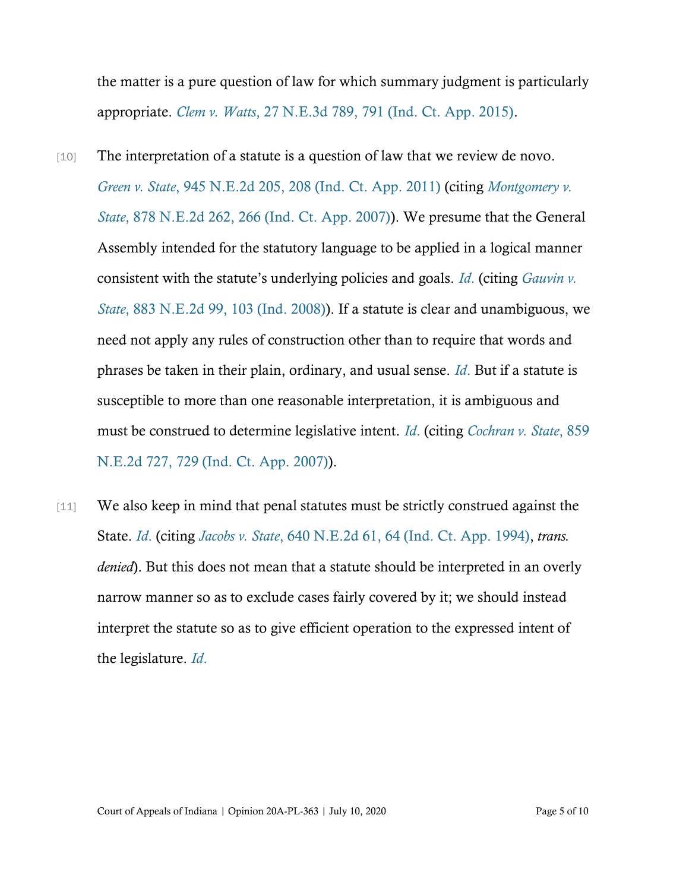the matter is a pure question of law for which summary judgment is particularly appropriate. *Clem v. Watts*[, 27 N.E.3d 789, 791 \(Ind. Ct. App. 2015\).](https://www.westlaw.com/Document/I96589372b84c11e4a795ac035416da91/View/FullText.html?transitionType=Default&contextData=(sc.Default)&VR=3.0&RS=da3.0&fragmentIdentifier=co_pp_sp_7902_791)

- [10] The interpretation of a statute is a question of law that we review de novo. *Green v. State*[, 945 N.E.2d 205, 208 \(Ind. Ct. App. 2011\)](https://www.westlaw.com/Document/I4198f3d3562011e097a4a9f0a6e10efc/View/FullText.html?transitionType=Default&contextData=(sc.Default)&VR=3.0&RS=da3.0&fragmentIdentifier=co_pp_sp_578_208) (citing *[Montgomery v.](https://www.westlaw.com/Document/Id134f4f5a9ac11dc9876f446780b7bdc/View/FullText.html?transitionType=Default&contextData=(sc.Default)&VR=3.0&RS=da3.0&fragmentIdentifier=co_pp_sp_578_266)  State*[, 878 N.E.2d 262, 266 \(Ind. Ct. App. 2007\)\)](https://www.westlaw.com/Document/Id134f4f5a9ac11dc9876f446780b7bdc/View/FullText.html?transitionType=Default&contextData=(sc.Default)&VR=3.0&RS=da3.0&fragmentIdentifier=co_pp_sp_578_266). We presume that the General Assembly intended for the statutory language to be applied in a logical manner consistent with the statute's underlying policies and goals. *[Id](https://www.westlaw.com/Document/I4198f3d3562011e097a4a9f0a6e10efc/View/FullText.html?transitionType=Default&contextData=(sc.Default)&VR=3.0&RS=da3.0&fragmentIdentifier=co_pp_sp_578_208)*. (citing *[Gauvin v.](https://www.westlaw.com/Document/Iff9e5ab0002911ddb595a478de34cd72/View/FullText.html?transitionType=Default&contextData=(sc.Default)&VR=3.0&RS=da3.0&fragmentIdentifier=co_pp_sp_578_103)  State*[, 883 N.E.2d 99, 103 \(Ind. 2008\)\)](https://www.westlaw.com/Document/Iff9e5ab0002911ddb595a478de34cd72/View/FullText.html?transitionType=Default&contextData=(sc.Default)&VR=3.0&RS=da3.0&fragmentIdentifier=co_pp_sp_578_103). If a statute is clear and unambiguous, we need not apply any rules of construction other than to require that words and phrases be taken in their plain, ordinary, and usual sense. *[Id](https://www.westlaw.com/Document/I4198f3d3562011e097a4a9f0a6e10efc/View/FullText.html?transitionType=Default&contextData=(sc.Default)&VR=3.0&RS=da3.0&fragmentIdentifier=co_pp_sp_578_208)*. But if a statute is susceptible to more than one reasonable interpretation, it is ambiguous and must be construed to determine legislative intent. *[Id](https://www.westlaw.com/Document/I4198f3d3562011e097a4a9f0a6e10efc/View/FullText.html?transitionType=Default&contextData=(sc.Default)&VR=3.0&RS=da3.0&fragmentIdentifier=co_pp_sp_578_208)*. (citing *[Cochran v. State](https://www.westlaw.com/Document/I39a4a53d9fda11dbb38df5bc58c34d92/View/FullText.html?transitionType=Default&contextData=(sc.Default)&VR=3.0&RS=da3.0&fragmentIdentifier=co_pp_sp_578_729)*, 859 [N.E.2d 727, 729 \(Ind. Ct. App. 2007\)\)](https://www.westlaw.com/Document/I39a4a53d9fda11dbb38df5bc58c34d92/View/FullText.html?transitionType=Default&contextData=(sc.Default)&VR=3.0&RS=da3.0&fragmentIdentifier=co_pp_sp_578_729).
- [11] We also keep in mind that penal statutes must be strictly construed against the State. *[Id](https://www.westlaw.com/Document/I4198f3d3562011e097a4a9f0a6e10efc/View/FullText.html?transitionType=Default&contextData=(sc.Default)&VR=3.0&RS=da3.0&fragmentIdentifier=co_pp_sp_578_208)*. (citing *Jacobs v. State*[, 640 N.E.2d 61, 64 \(Ind. Ct. App. 1994\),](https://www.westlaw.com/Document/I720b064ad46911d99439b076ef9ec4de/View/FullText.html?transitionType=Default&contextData=(sc.Default)&VR=3.0&RS=da3.0&fragmentIdentifier=co_pp_sp_578_64) *trans. denied*). But this does not mean that a statute should be interpreted in an overly narrow manner so as to exclude cases fairly covered by it; we should instead interpret the statute so as to give efficient operation to the expressed intent of the legislature. *[Id](https://www.westlaw.com/Document/Iff9e5ab0002911ddb595a478de34cd72/View/FullText.html?transitionType=Default&contextData=(sc.Default)&VR=3.0&RS=da3.0)*.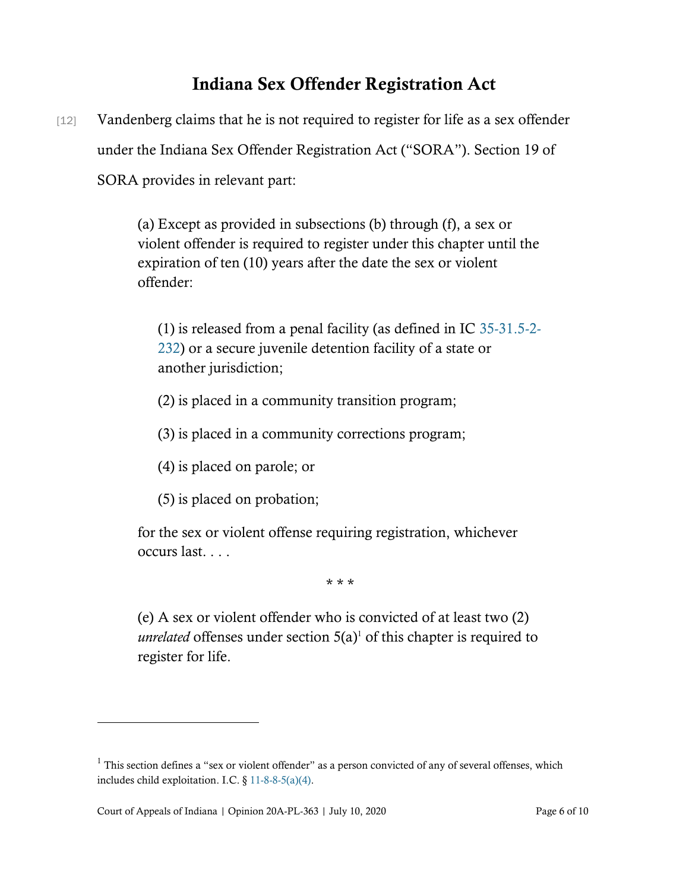## Indiana Sex Offender Registration Act

[12] Vandenberg claims that he is not required to register for life as a sex offender under the Indiana Sex Offender Registration Act ("SORA"). Section 19 of SORA provides in relevant part:

> (a) Except as provided in subsections (b) through (f), a sex or violent offender is required to register under this chapter until the expiration of ten (10) years after the date the sex or violent offender:

(1) is released from a penal facility (as defined in IC [35-31.5-2-](https://www.westlaw.com/Document/NCD82BA50A88C11E1A2ACC36DEF24DF94/View/FullText.html?transitionType=Default&contextData=(sc.Default)&VR=3.0&RS=cblt1.0) [232\)](https://www.westlaw.com/Document/NCD82BA50A88C11E1A2ACC36DEF24DF94/View/FullText.html?transitionType=Default&contextData=(sc.Default)&VR=3.0&RS=cblt1.0) or a secure juvenile detention facility of a state or another jurisdiction;

- (2) is placed in a community transition program;
- (3) is placed in a community corrections program;
- (4) is placed on parole; or
- (5) is placed on probation;

for the sex or violent offense requiring registration, whichever occurs last. . . .

\* \* \*

(e) A sex or violent offender who is convicted of at least two (2) *unrelated* offenses under section  $5(a)$ <sup>1</sup> of this chapter is required to register for life.

 $1$  This section defines a "sex or violent offender" as a person convicted of any of several offenses, which includes child exploitation. I.C. § [11-8-8-5\(a\)\(4\).](https://www.westlaw.com/Document/N40F4DC61596811E8BF5EF1F22D143305/View/FullText.html?transitionType=Default&contextData=(sc.Default)&VR=3.0&RS=cblt1.0)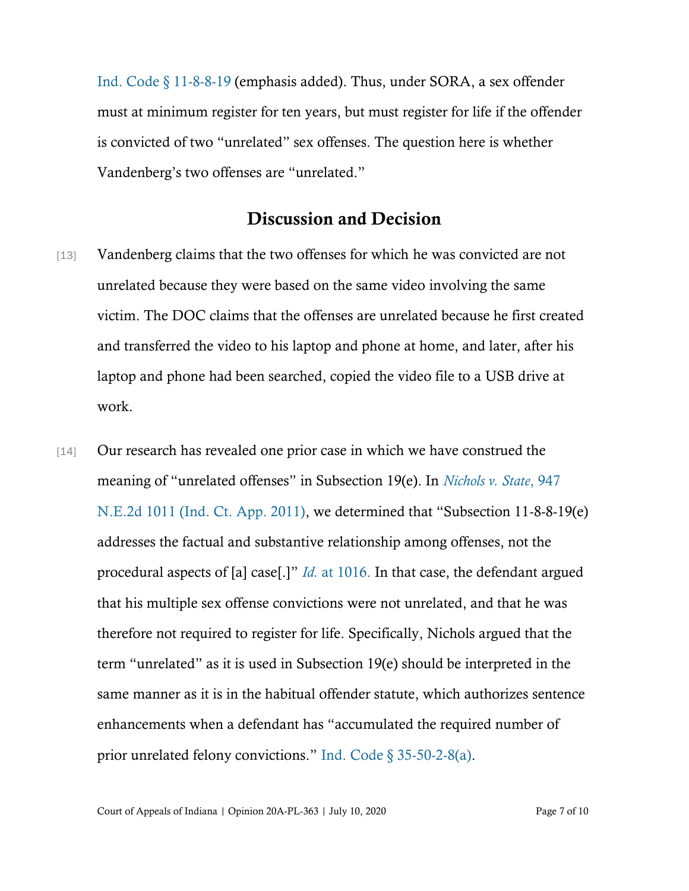[Ind. Code § 11-8-8-19](https://www.westlaw.com/Document/N0AA97ED07B6E11E9B1C9BC35CA018EF0/View/FullText.html?transitionType=Default&contextData=(sc.Default)&VR=3.0&RS=da3.0) (emphasis added). Thus, under SORA, a sex offender must at minimum register for ten years, but must register for life if the offender is convicted of two "unrelated" sex offenses. The question here is whether Vandenberg's two offenses are "unrelated."

#### Discussion and Decision

- [13] Vandenberg claims that the two offenses for which he was convicted are not unrelated because they were based on the same video involving the same victim. The DOC claims that the offenses are unrelated because he first created and transferred the video to his laptop and phone at home, and later, after his laptop and phone had been searched, copied the video file to a USB drive at work.
- [14] Our research has revealed one prior case in which we have construed the meaning of "unrelated offenses" in Subsection 19(e). In *[Nichols v. State](https://www.westlaw.com/Document/I0499fc1c731611e0af6af9916f973d19/View/FullText.html?transitionType=Default&contextData=(sc.Default)&VR=3.0&RS=da3.0)*, 947 [N.E.2d 1011 \(Ind. Ct. App. 2011\)](https://www.westlaw.com/Document/I0499fc1c731611e0af6af9916f973d19/View/FullText.html?transitionType=Default&contextData=(sc.Default)&VR=3.0&RS=da3.0), we determined that "Subsection 11-8-8-19(e) addresses the factual and substantive relationship among offenses, not the procedural aspects of [a] case[.]" *Id.* [at 1016.](https://www.westlaw.com/Document/I0499fc1c731611e0af6af9916f973d19/View/FullText.html?transitionType=Default&contextData=(sc.Default)&VR=3.0&RS=da3.0&fragmentIdentifier=co_pp_sp_578_1016) In that case, the defendant argued that his multiple sex offense convictions were not unrelated, and that he was therefore not required to register for life. Specifically, Nichols argued that the term "unrelated" as it is used in Subsection 19(e) should be interpreted in the same manner as it is in the habitual offender statute, which authorizes sentence enhancements when a defendant has "accumulated the required number of prior unrelated felony convictions." [Ind. Code § 35-50-2-8\(a\).](https://www.westlaw.com/Document/NB9ED77F14CEC11E7A5D2F7439409045F/View/FullText.html?transitionType=Default&contextData=(sc.Default)&VR=3.0&RS=da3.0)

Court of Appeals of Indiana | Opinion 20A-PL-363 | July 10, 2020 Page 7 of 10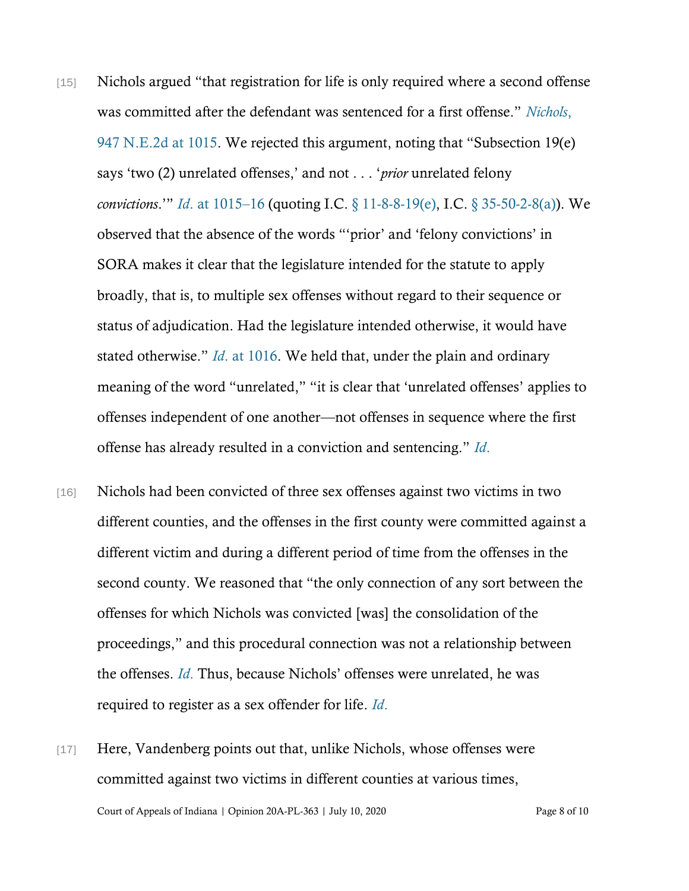- [15] Nichols argued "that registration for life is only required where a second offense was committed after the defendant was sentenced for a first offense." *[Nichols](https://www.westlaw.com/Document/I0499fc1c731611e0af6af9916f973d19/View/FullText.html?transitionType=Default&contextData=(sc.Default)&VR=3.0&RS=da3.0&fragmentIdentifier=co_pp_sp_578_1015)*, [947 N.E.2d at 1015](https://www.westlaw.com/Document/I0499fc1c731611e0af6af9916f973d19/View/FullText.html?transitionType=Default&contextData=(sc.Default)&VR=3.0&RS=da3.0&fragmentIdentifier=co_pp_sp_578_1015). We rejected this argument, noting that "Subsection 19(e) says 'two (2) unrelated offenses,' and not . . . '*prior* unrelated felony *convictions*.'" *Id*[. at 1015](https://www.westlaw.com/Document/I0499fc1c731611e0af6af9916f973d19/View/FullText.html?transitionType=Default&contextData=(sc.Default)&VR=3.0&RS=da3.0&fragmentIdentifier=co_pp_sp_578_1015)–16 (quoting I.C. [§ 11-8-8-19\(e\),](https://www.westlaw.com/Document/N0AA97ED07B6E11E9B1C9BC35CA018EF0/View/FullText.html?transitionType=Default&contextData=(sc.Default)&VR=3.0&RS=da3.0) I.C. [§ 35-50-2-8\(a\)\)](https://www.westlaw.com/Document/NB9ED77F14CEC11E7A5D2F7439409045F/View/FullText.html?transitionType=Default&contextData=(sc.Default)&VR=3.0&RS=da3.0). We observed that the absence of the words "'prior' and 'felony convictions' in SORA makes it clear that the legislature intended for the statute to apply broadly, that is, to multiple sex offenses without regard to their sequence or status of adjudication. Had the legislature intended otherwise, it would have stated otherwise." *Id*[. at 1016.](https://www.westlaw.com/Document/I0499fc1c731611e0af6af9916f973d19/View/FullText.html?transitionType=Default&contextData=(sc.Default)&VR=3.0&RS=da3.0&fragmentIdentifier=co_pp_sp_578_1016) We held that, under the plain and ordinary meaning of the word "unrelated," "it is clear that 'unrelated offenses' applies to offenses independent of one another—not offenses in sequence where the first offense has already resulted in a conviction and sentencing." *[Id](https://www.westlaw.com/Document/I0499fc1c731611e0af6af9916f973d19/View/FullText.html?transitionType=Default&contextData=(sc.Default)&VR=3.0&RS=da3.0&fragmentIdentifier=co_pp_sp_578_1016)*.
- [16] Nichols had been convicted of three sex offenses against two victims in two different counties, and the offenses in the first county were committed against a different victim and during a different period of time from the offenses in the second county. We reasoned that "the only connection of any sort between the offenses for which Nichols was convicted [was] the consolidation of the proceedings," and this procedural connection was not a relationship between the offenses. *[Id](https://www.westlaw.com/Document/I0499fc1c731611e0af6af9916f973d19/View/FullText.html?transitionType=Default&contextData=(sc.Default)&VR=3.0&RS=da3.0&fragmentIdentifier=co_pp_sp_578_1016)*. Thus, because Nichols' offenses were unrelated, he was required to register as a sex offender for life. *[Id](https://www.westlaw.com/Document/I0499fc1c731611e0af6af9916f973d19/View/FullText.html?transitionType=Default&contextData=(sc.Default)&VR=3.0&RS=da3.0&fragmentIdentifier=co_pp_sp_578_1016)*.
- Court of Appeals of Indiana | Opinion 20A-PL-363 | July 10, 2020 Page 8 of 10 [17] Here, Vandenberg points out that, unlike Nichols, whose offenses were committed against two victims in different counties at various times,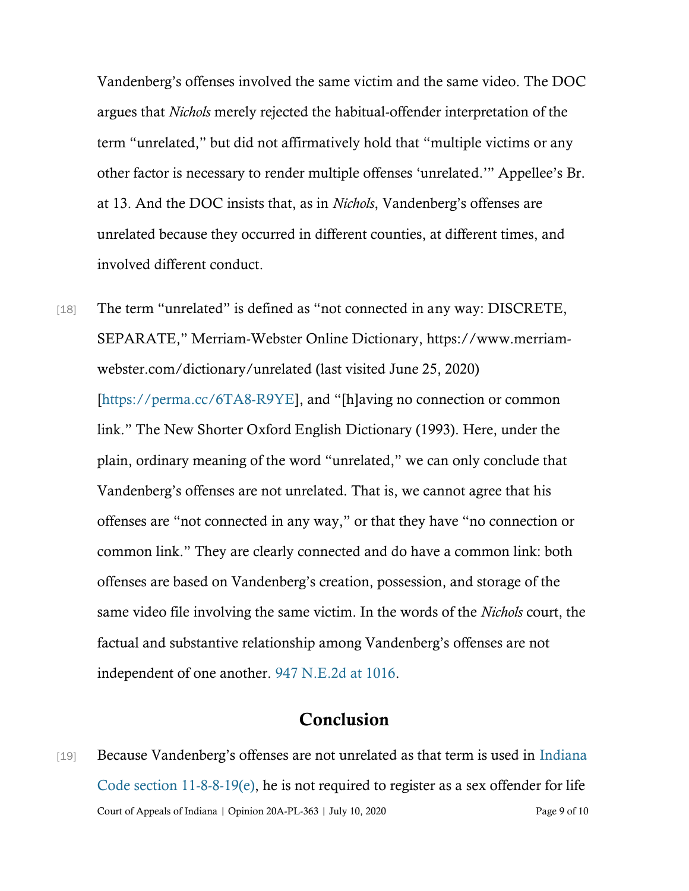Vandenberg's offenses involved the same victim and the same video. The DOC argues that *Nichols* merely rejected the habitual-offender interpretation of the term "unrelated," but did not affirmatively hold that "multiple victims or any other factor is necessary to render multiple offenses 'unrelated.'" Appellee's Br. at 13. And the DOC insists that, as in *Nichols*, Vandenberg's offenses are unrelated because they occurred in different counties, at different times, and involved different conduct.

[18] The term "unrelated" is defined as "not connected in any way: DISCRETE, SEPARATE," Merriam-Webster Online Dictionary, https://www.merriamwebster.com/dictionary/unrelated (last visited June 25, 2020) [\[https://perma.cc/6TA8-R9YE\]](https://perma.cc/6TA8-R9YE), and "[h]aving no connection or common link." The New Shorter Oxford English Dictionary (1993). Here, under the plain, ordinary meaning of the word "unrelated," we can only conclude that Vandenberg's offenses are not unrelated. That is, we cannot agree that his offenses are "not connected in any way," or that they have "no connection or common link." They are clearly connected and do have a common link: both offenses are based on Vandenberg's creation, possession, and storage of the same video file involving the same victim. In the words of the *Nichols* court, the factual and substantive relationship among Vandenberg's offenses are not independent of one another. [947 N.E.2d at 1016.](https://www.westlaw.com/Document/I0499fc1c731611e0af6af9916f973d19/View/FullText.html?transitionType=Default&contextData=(sc.Default)&VR=3.0&RS=da3.0&fragmentIdentifier=co_pp_sp_578_1016)

## Conclusion

Court of Appeals of Indiana | Opinion 20A-PL-363 | July 10, 2020 Page 9 of 10 [19] Because Vandenberg's offenses are not unrelated as that term is used in Indiana Code section  $11-8-8-19(e)$ , he is not required to register as a sex offender for life